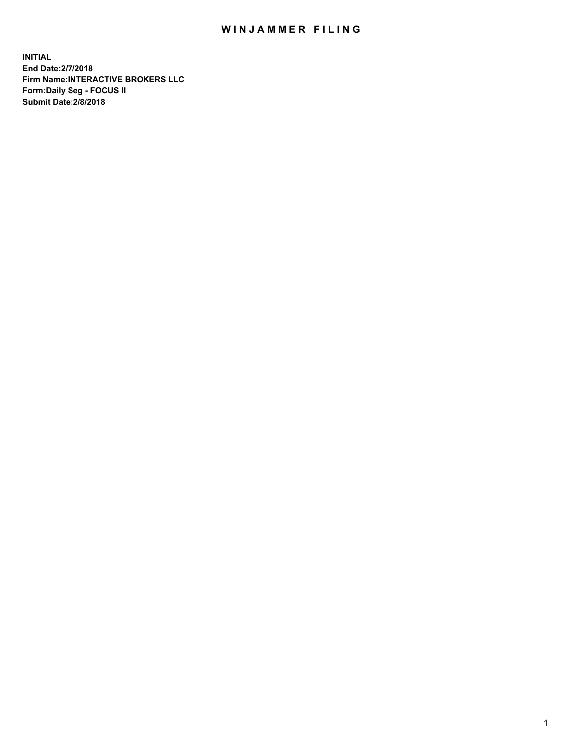## WIN JAMMER FILING

**INITIAL End Date:2/7/2018 Firm Name:INTERACTIVE BROKERS LLC Form:Daily Seg - FOCUS II Submit Date:2/8/2018**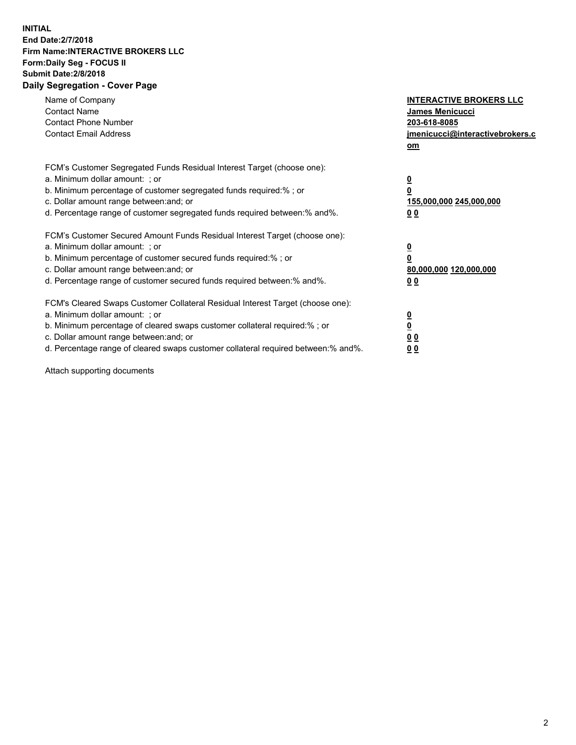## **INITIAL End Date:2/7/2018 Firm Name:INTERACTIVE BROKERS LLC Form:Daily Seg - FOCUS II Submit Date:2/8/2018 Daily Segregation - Cover Page**

| Name of Company<br><b>Contact Name</b><br><b>Contact Phone Number</b><br><b>Contact Email Address</b>                                                                                                                                                                                                                          | <b>INTERACTIVE BROKERS LLC</b><br>James Menicucci<br>203-618-8085<br>jmenicucci@interactivebrokers.c<br>om |
|--------------------------------------------------------------------------------------------------------------------------------------------------------------------------------------------------------------------------------------------------------------------------------------------------------------------------------|------------------------------------------------------------------------------------------------------------|
| FCM's Customer Segregated Funds Residual Interest Target (choose one):<br>a. Minimum dollar amount: ; or<br>b. Minimum percentage of customer segregated funds required:% ; or<br>c. Dollar amount range between: and; or<br>d. Percentage range of customer segregated funds required between:% and%.                         | $\overline{\mathbf{0}}$<br>0<br>155,000,000 245,000,000<br>0 <sub>0</sub>                                  |
| FCM's Customer Secured Amount Funds Residual Interest Target (choose one):<br>a. Minimum dollar amount: ; or<br>b. Minimum percentage of customer secured funds required:%; or<br>c. Dollar amount range between: and; or<br>d. Percentage range of customer secured funds required between: % and %.                          | $\overline{\mathbf{0}}$<br>0<br>80,000,000 120,000,000<br>0 <sub>0</sub>                                   |
| FCM's Cleared Swaps Customer Collateral Residual Interest Target (choose one):<br>a. Minimum dollar amount: ; or<br>b. Minimum percentage of cleared swaps customer collateral required:% ; or<br>c. Dollar amount range between: and; or<br>d. Percentage range of cleared swaps customer collateral required between:% and%. | $\overline{\mathbf{0}}$<br>$\overline{\mathbf{0}}$<br>0 <sub>0</sub><br>0 <sub>0</sub>                     |

Attach supporting documents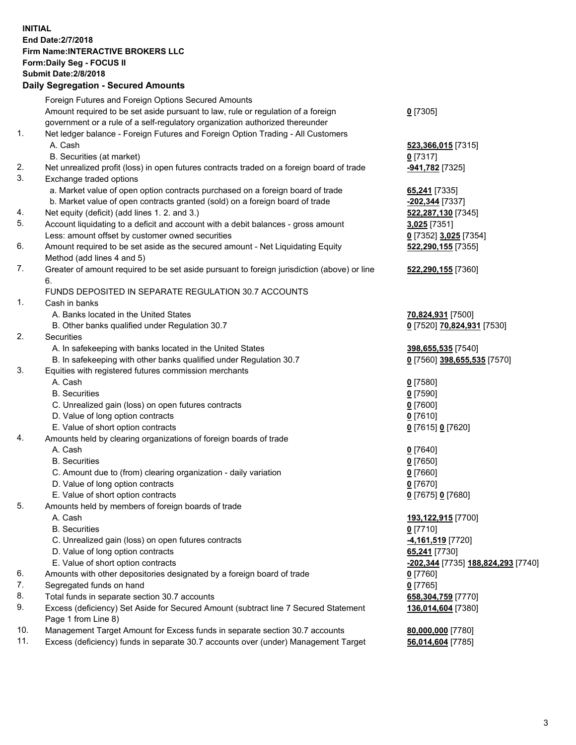## **INITIAL End Date:2/7/2018 Firm Name:INTERACTIVE BROKERS LLC Form:Daily Seg - FOCUS II Submit Date:2/8/2018 Daily Segregation - Secured Amounts**

|     | Foreign Futures and Foreign Options Secured Amounts                                         |                                    |
|-----|---------------------------------------------------------------------------------------------|------------------------------------|
|     | Amount required to be set aside pursuant to law, rule or regulation of a foreign            | $0$ [7305]                         |
|     | government or a rule of a self-regulatory organization authorized thereunder                |                                    |
| 1.  | Net ledger balance - Foreign Futures and Foreign Option Trading - All Customers             |                                    |
|     | A. Cash                                                                                     | 523,366,015 [7315]                 |
|     | B. Securities (at market)                                                                   | $0$ [7317]                         |
| 2.  | Net unrealized profit (loss) in open futures contracts traded on a foreign board of trade   | -941,782 [7325]                    |
| 3.  | Exchange traded options                                                                     |                                    |
|     | a. Market value of open option contracts purchased on a foreign board of trade              | 65,241 [7335]                      |
|     | b. Market value of open contracts granted (sold) on a foreign board of trade                | -202,344 [7337]                    |
| 4.  | Net equity (deficit) (add lines 1.2. and 3.)                                                | 522,287,130 [7345]                 |
| 5.  | Account liquidating to a deficit and account with a debit balances - gross amount           | 3,025 [7351]                       |
|     | Less: amount offset by customer owned securities                                            | 0 [7352] 3,025 [7354]              |
| 6.  | Amount required to be set aside as the secured amount - Net Liquidating Equity              | 522,290,155 [7355]                 |
|     | Method (add lines 4 and 5)                                                                  |                                    |
| 7.  | Greater of amount required to be set aside pursuant to foreign jurisdiction (above) or line | 522,290,155 [7360]                 |
|     | 6.                                                                                          |                                    |
|     | FUNDS DEPOSITED IN SEPARATE REGULATION 30.7 ACCOUNTS                                        |                                    |
| 1.  | Cash in banks                                                                               |                                    |
|     | A. Banks located in the United States                                                       | 70,824,931 [7500]                  |
|     | B. Other banks qualified under Regulation 30.7                                              | 0 [7520] 70,824,931 [7530]         |
| 2.  | Securities                                                                                  |                                    |
|     | A. In safekeeping with banks located in the United States                                   | 398,655,535 [7540]                 |
|     | B. In safekeeping with other banks qualified under Regulation 30.7                          | 0 [7560] 398,655,535 [7570]        |
| 3.  | Equities with registered futures commission merchants                                       |                                    |
|     | A. Cash                                                                                     | $0$ [7580]                         |
|     | <b>B.</b> Securities                                                                        | $0$ [7590]                         |
|     | C. Unrealized gain (loss) on open futures contracts                                         | $0$ [7600]                         |
|     | D. Value of long option contracts                                                           | $0$ [7610]                         |
|     | E. Value of short option contracts                                                          | 0 [7615] 0 [7620]                  |
| 4.  | Amounts held by clearing organizations of foreign boards of trade                           |                                    |
|     | A. Cash                                                                                     | $0$ [7640]                         |
|     | <b>B.</b> Securities                                                                        | $0$ [7650]                         |
|     | C. Amount due to (from) clearing organization - daily variation                             | $0$ [7660]                         |
|     | D. Value of long option contracts                                                           | $0$ [7670]                         |
|     | E. Value of short option contracts                                                          | 0 [7675] 0 [7680]                  |
| 5.  | Amounts held by members of foreign boards of trade                                          |                                    |
|     | A. Cash                                                                                     | 193,122,915 [7700]                 |
|     | <b>B.</b> Securities                                                                        | $0$ [7710]                         |
|     | C. Unrealized gain (loss) on open futures contracts                                         | 4,161,519 [7720]                   |
|     | D. Value of long option contracts                                                           | 65,241 [7730]                      |
|     | E. Value of short option contracts                                                          | -202,344 [7735] 188,824,293 [7740] |
| 6.  | Amounts with other depositories designated by a foreign board of trade                      | $0$ [7760]                         |
| 7.  | Segregated funds on hand                                                                    | $0$ [7765]                         |
| 8.  | Total funds in separate section 30.7 accounts                                               | 658,304,759 [7770]                 |
| 9.  | Excess (deficiency) Set Aside for Secured Amount (subtract line 7 Secured Statement         | 136,014,604 [7380]                 |
|     | Page 1 from Line 8)                                                                         |                                    |
| 10. | Management Target Amount for Excess funds in separate section 30.7 accounts                 | 80,000,000 [7780]                  |
| 11. | Excess (deficiency) funds in separate 30.7 accounts over (under) Management Target          | 56,014,604 [7785]                  |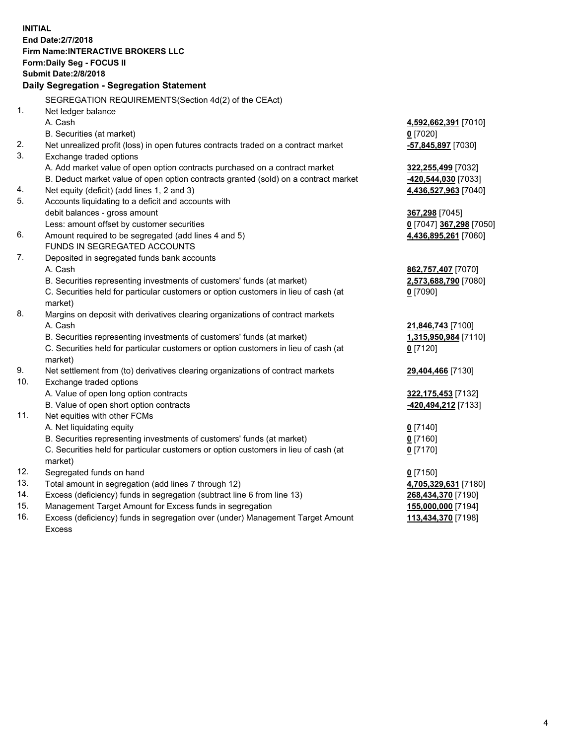**INITIAL End Date:2/7/2018 Firm Name:INTERACTIVE BROKERS LLC Form:Daily Seg - FOCUS II Submit Date:2/8/2018 Daily Segregation - Segregation Statement** SEGREGATION REQUIREMENTS(Section 4d(2) of the CEAct) 1. Net ledger balance A. Cash **4,592,662,391** [7010] B. Securities (at market) **0** [7020] 2. Net unrealized profit (loss) in open futures contracts traded on a contract market **-57,845,897** [7030] 3. Exchange traded options A. Add market value of open option contracts purchased on a contract market **322,255,499** [7032] B. Deduct market value of open option contracts granted (sold) on a contract market **-420,544,030** [7033] 4. Net equity (deficit) (add lines 1, 2 and 3) **4,436,527,963** [7040] 5. Accounts liquidating to a deficit and accounts with debit balances - gross amount **367,298** [7045] Less: amount offset by customer securities **0** [7047] **367,298** [7050] 6. Amount required to be segregated (add lines 4 and 5) **4,436,895,261** [7060] FUNDS IN SEGREGATED ACCOUNTS 7. Deposited in segregated funds bank accounts A. Cash **862,757,407** [7070] B. Securities representing investments of customers' funds (at market) **2,573,688,790** [7080] C. Securities held for particular customers or option customers in lieu of cash (at market) **0** [7090] 8. Margins on deposit with derivatives clearing organizations of contract markets A. Cash **21,846,743** [7100] B. Securities representing investments of customers' funds (at market) **1,315,950,984** [7110] C. Securities held for particular customers or option customers in lieu of cash (at market) **0** [7120] 9. Net settlement from (to) derivatives clearing organizations of contract markets **29,404,466** [7130] 10. Exchange traded options A. Value of open long option contracts **322,175,453** [7132] B. Value of open short option contracts **-420,494,212** [7133] 11. Net equities with other FCMs A. Net liquidating equity **0** [7140] B. Securities representing investments of customers' funds (at market) **0** [7160] C. Securities held for particular customers or option customers in lieu of cash (at market) **0** [7170] 12. Segregated funds on hand **0** [7150] 13. Total amount in segregation (add lines 7 through 12) **4,705,329,631** [7180] 14. Excess (deficiency) funds in segregation (subtract line 6 from line 13) **268,434,370** [7190] 15. Management Target Amount for Excess funds in segregation **155,000,000** [7194] 16. Excess (deficiency) funds in segregation over (under) Management Target Amount **113,434,370** [7198]

Excess